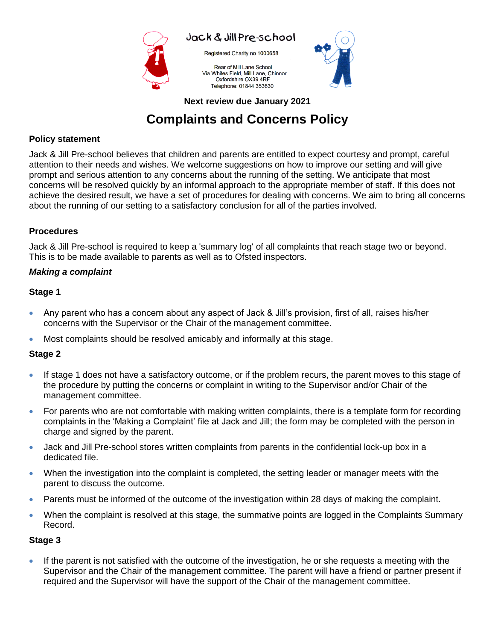

Registered Charity no 1000658

Rear of Mill Lane School Via Whites Field, Mill Lane, Chinnor Oxfordshire OX39 4RF Telephone: 01844 353630



**Next review due January 2021**

# **Complaints and Concerns Policy**

## **Policy statement**

Jack & Jill Pre-school believes that children and parents are entitled to expect courtesy and prompt, careful attention to their needs and wishes. We welcome suggestions on how to improve our setting and will give prompt and serious attention to any concerns about the running of the setting. We anticipate that most concerns will be resolved quickly by an informal approach to the appropriate member of staff. If this does not achieve the desired result, we have a set of procedures for dealing with concerns. We aim to bring all concerns about the running of our setting to a satisfactory conclusion for all of the parties involved.

## **Procedures**

Jack & Jill Pre-school is required to keep a 'summary log' of all complaints that reach stage two or beyond. This is to be made available to parents as well as to Ofsted inspectors.

## *Making a complaint*

### **Stage 1**

- Any parent who has a concern about any aspect of Jack & Jill's provision, first of all, raises his/her concerns with the Supervisor or the Chair of the management committee.
- Most complaints should be resolved amicably and informally at this stage.

## **Stage 2**

- If stage 1 does not have a satisfactory outcome, or if the problem recurs, the parent moves to this stage of the procedure by putting the concerns or complaint in writing to the Supervisor and/or Chair of the management committee.
- For parents who are not comfortable with making written complaints, there is a template form for recording complaints in the 'Making a Complaint' file at Jack and Jill; the form may be completed with the person in charge and signed by the parent.
- Jack and Jill Pre-school stores written complaints from parents in the confidential lock-up box in a dedicated file.
- When the investigation into the complaint is completed, the setting leader or manager meets with the parent to discuss the outcome.
- Parents must be informed of the outcome of the investigation within 28 days of making the complaint.
- When the complaint is resolved at this stage, the summative points are logged in the Complaints Summary Record.

### **Stage 3**

 If the parent is not satisfied with the outcome of the investigation, he or she requests a meeting with the Supervisor and the Chair of the management committee. The parent will have a friend or partner present if required and the Supervisor will have the support of the Chair of the management committee.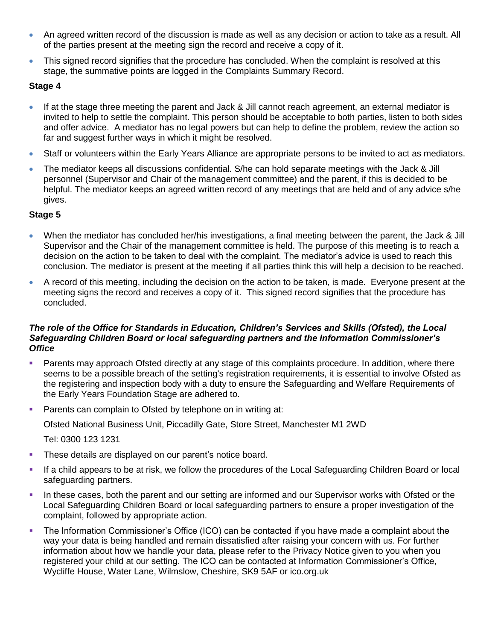- An agreed written record of the discussion is made as well as any decision or action to take as a result. All of the parties present at the meeting sign the record and receive a copy of it.
- This signed record signifies that the procedure has concluded. When the complaint is resolved at this stage, the summative points are logged in the Complaints Summary Record.

#### **Stage 4**

- If at the stage three meeting the parent and Jack & Jill cannot reach agreement, an external mediator is invited to help to settle the complaint. This person should be acceptable to both parties, listen to both sides and offer advice. A mediator has no legal powers but can help to define the problem, review the action so far and suggest further ways in which it might be resolved.
- Staff or volunteers within the Early Years Alliance are appropriate persons to be invited to act as mediators.
- The mediator keeps all discussions confidential. S/he can hold separate meetings with the Jack & Jill personnel (Supervisor and Chair of the management committee) and the parent, if this is decided to be helpful. The mediator keeps an agreed written record of any meetings that are held and of any advice s/he gives.

#### **Stage 5**

- When the mediator has concluded her/his investigations, a final meeting between the parent, the Jack & Jill Supervisor and the Chair of the management committee is held. The purpose of this meeting is to reach a decision on the action to be taken to deal with the complaint. The mediator's advice is used to reach this conclusion. The mediator is present at the meeting if all parties think this will help a decision to be reached.
- A record of this meeting, including the decision on the action to be taken, is made. Everyone present at the meeting signs the record and receives a copy of it. This signed record signifies that the procedure has concluded.

#### *The role of the Office for Standards in Education, Children's Services and Skills (Ofsted), the Local Safeguarding Children Board or local safeguarding partners and the Information Commissioner's Office*

- Parents may approach Ofsted directly at any stage of this complaints procedure. In addition, where there seems to be a possible breach of the setting's registration requirements, it is essential to involve Ofsted as the registering and inspection body with a duty to ensure the Safeguarding and Welfare Requirements of the Early Years Foundation Stage are adhered to.
- **Parents can complain to Ofsted by telephone on in writing at:**

Ofsted National Business Unit, Piccadilly Gate, Store Street, Manchester M1 2WD

Tel: 0300 123 1231

- **These details are displayed on our parent's notice board.**
- If a child appears to be at risk, we follow the procedures of the Local Safeguarding Children Board or local safeguarding partners.
- In these cases, both the parent and our setting are informed and our Supervisor works with Ofsted or the Local Safeguarding Children Board or local safeguarding partners to ensure a proper investigation of the complaint, followed by appropriate action.
- The Information Commissioner's Office (ICO) can be contacted if you have made a complaint about the way your data is being handled and remain dissatisfied after raising your concern with us. For further information about how we handle your data, please refer to the Privacy Notice given to you when you registered your child at our setting. The ICO can be contacted at Information Commissioner's Office, Wycliffe House, Water Lane, Wilmslow, Cheshire, SK9 5AF or ico.org.uk